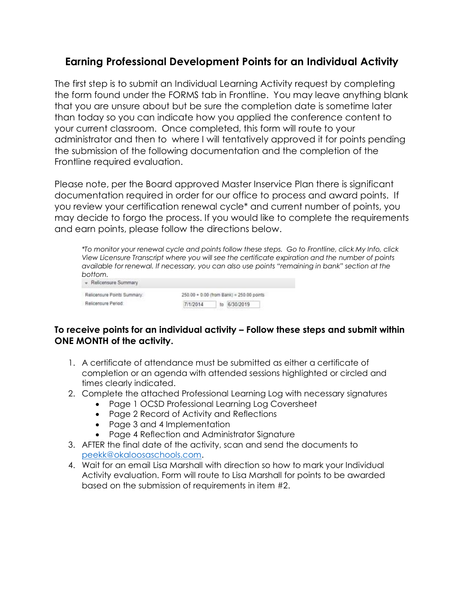## **Earning Professional Development Points for an Individual Activity**

The first step is to submit an Individual Learning Activity request by completing the form found under the FORMS tab in Frontline. You may leave anything blank that you are unsure about but be sure the completion date is sometime later than today so you can indicate how you applied the conference content to your current classroom. Once completed, this form will route to your administrator and then to where I will tentatively approved it for points pending the submission of the following documentation and the completion of the Frontline required evaluation.

Please note, per the Board approved Master Inservice Plan there is significant documentation required in order for our office to process and award points. If you review your certification renewal cycle\* and current number of points, you may decide to forgo the process. If you would like to complete the requirements and earn points, please follow the directions below.

|                                                | *To monitor your renewal cycle and points follow these steps. Go to Frontline, click My Info, click<br>View Licensure Transcript where you will see the certificate expiration and the number of points<br>available for renewal. If necessary, you can also use points "remaining in bank" section at the |  |
|------------------------------------------------|------------------------------------------------------------------------------------------------------------------------------------------------------------------------------------------------------------------------------------------------------------------------------------------------------------|--|
| bottom.                                        |                                                                                                                                                                                                                                                                                                            |  |
| - Relicensure Summary                          |                                                                                                                                                                                                                                                                                                            |  |
| Photographical Photographical Companies of the | SER BR - R-86 House Plantill, BER BR - Links                                                                                                                                                                                                                                                               |  |

| Relicensure Points Summary: |          | 250.00 + 0.00 (from Bank) = 250.00 points |
|-----------------------------|----------|-------------------------------------------|
| Relicensure Period          | 7/1/2014 | to 6/30/2019                              |
|                             |          |                                           |

### **To receive points for an individual activity – Follow these steps and submit within ONE MONTH of the activity.**

- 1. A certificate of attendance must be submitted as either a certificate of completion or an agenda with attended sessions highlighted or circled and times clearly indicated.
- 2. Complete the attached Professional Learning Log with necessary signatures
	- Page 1 OCSD Professional Learning Log Coversheet
	- Page 2 Record of Activity and Reflections
	- Page 3 and 4 Implementation
	- Page 4 Reflection and Administrator Signature
- 3. AFTER the final date of the activity, scan and send the documents to [peekk@okaloosaschools.com.](mailto:peekk@okaloosaschools.com)
- 4. Wait for an email Lisa Marshall with direction so how to mark your Individual Activity evaluation. Form will route to Lisa Marshall for points to be awarded based on the submission of requirements in item #2.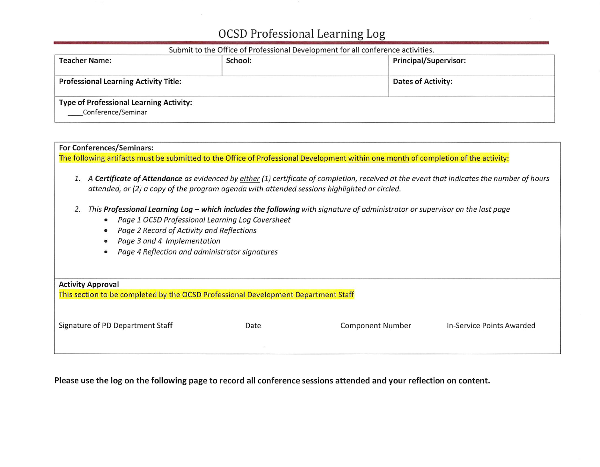#### Submit to the Office of Professional Development for all conference activities.

| <b>Teacher Name:</b>                                                 | School: | <b>Principal/Supervisor:</b> |  |  |
|----------------------------------------------------------------------|---------|------------------------------|--|--|
| <b>Professional Learning Activity Title:</b>                         |         | <b>Dates of Activity:</b>    |  |  |
| <b>Type of Professional Learning Activity:</b><br>Conference/Seminar |         |                              |  |  |

## **For Conferences/Seminars:** The following artifacts must be submitted to the Office of Professional Development within one month of completion of the activity: 1. A Certificate of Attendance as evidenced by either (1) certificate of completion, received at the event that indicates the number of hours attended, or (2) a copy of the program agenda with attended sessions highlighted or circled. 2. This Professional Learning Log - which includes the following with signature of administrator or supervisor on the last page • Page 1 OCSD Professional Learning Log Coversheet Page 2 Record of Activity and Reflections  $\bullet$ • Page 3 and 4 Implementation • Page 4 Reflection and administrator signatures **Activity Approval** This section to be completed by the OCSD Professional Development Department Staff Signature of PD Department Staff **Component Number** Date In-Service Points Awarded

### Please use the log on the following page to record all conference sessions attended and your reflection on content.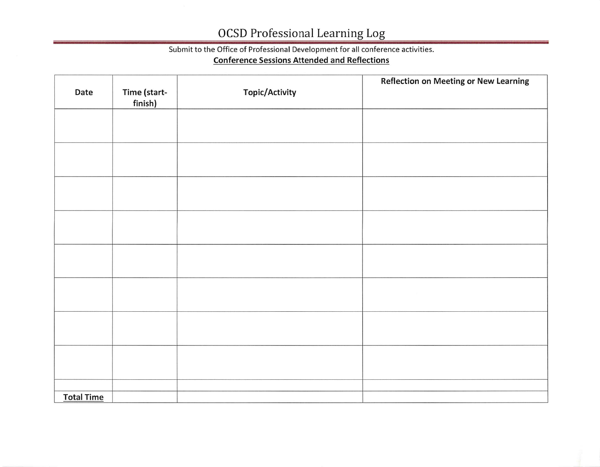## Submit to the Office of Professional Development for all conference activities.

### **Conference Sessions Attended and Reflections**

| Date              | Time (start-<br>finish) | <b>Topic/Activity</b> | <b>Reflection on Meeting or New Learning</b> |
|-------------------|-------------------------|-----------------------|----------------------------------------------|
|                   |                         |                       |                                              |
|                   |                         |                       |                                              |
|                   |                         |                       |                                              |
|                   |                         |                       |                                              |
|                   |                         |                       |                                              |
|                   |                         |                       |                                              |
|                   |                         |                       |                                              |
|                   |                         |                       |                                              |
| <b>Total Time</b> |                         |                       |                                              |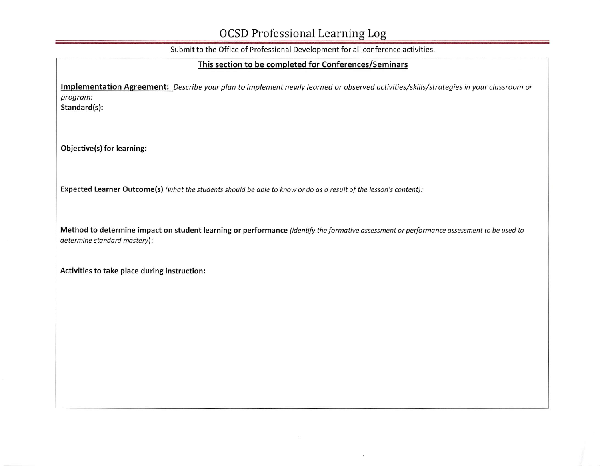Submit to the Office of Professional Development for all conference activities.

### This section to be completed for Conferences/Seminars

Implementation Agreement: Describe your plan to implement newly learned or observed activities/skills/strategies in your classroom or program:

Standard(s):

Objective(s) for learning:

Expected Learner Outcome(s) (what the students should be able to know or do as a result of the lesson's content):

Method to determine impact on student learning or performance (identify the formative assessment or performance assessment to be used to determine standard mastery):

Activities to take place during instruction: